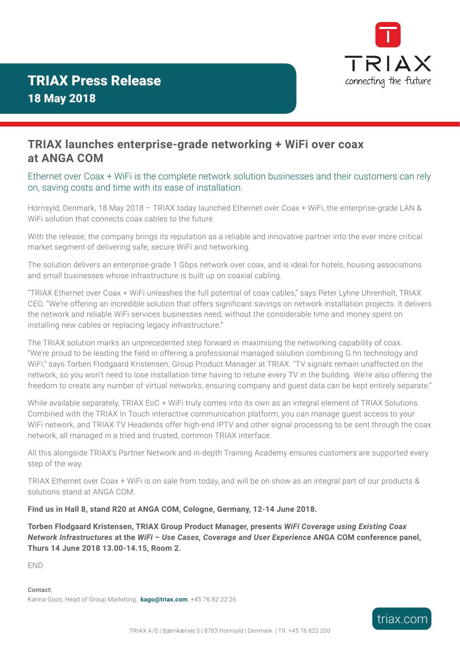

## **TRIAX launches enterprise-grade networking + WiFi over coax at ANGA COM**

## Ethernet over Coax + WiFi is the complete network solution businesses and their customers can rely on, saving costs and time with its ease of installation.

Hornsyld, Denmark, 18 May 2018 – TRIAX today launched Ethernet over Coax + WiFi, the enterprise-grade LAN & WiFi solution that connects coax cables to the future.

With the release, the company brings its reputation as a reliable and innovative partner into the ever more critical market segment of delivering safe, secure WiFi and networking.

The solution delivers an enterprise-grade 1 Gbps network over coax, and is ideal for hotels, housing associations and small businesses whose infrastructure is built up on coaxial cabling.

"TRIAX Ethernet over Coax + WiFi unleashes the full potential of coax cables," says Peter Lyhne Uhrenholt, TRIAX CEO. "We're offering an incredible solution that offers significant savings on network installation projects. It delivers the network and reliable WiFi services businesses need, without the considerable time and money spent on installing new cables or replacing legacy infrastructure."

The TRIAX solution marks an unprecedented step forward in maximising the networking capability of coax. "We're proud to be leading the field in offering a professional managed solution combining G.hn technology and WiFi," says Torben Flodgaard Kristensen, Group Product Manager at TRIAX. "TV signals remain unaffected on the network, so you won't need to lose installation time having to retune every TV in the building. We're also offering the freedom to create any number of virtual networks, ensuring company and guest data can be kept entirely separate."

While available separately, TRIAX EoC + WiFi truly comes into its own as an integral element of TRIAX Solutions. Combined with the TRIAX In Touch interactive communication platform, you can manage guest access to your WiFi network, and TRIAX TV Headends offer high-end IPTV and other signal processing to be sent through the coax network, all managed in a tried and trusted, common TRIAX interface.

All this alongside TRIAX's Partner Network and in-depth Training Academy ensures customers are supported every step of the way.

TRIAX Ethernet over Coax + WiFi is on sale from today, and will be on show as an integral part of our products & solutions stand at ANGA COM.

## **Find us in Hall 8, stand R20 at ANGA COM, Cologne, Germany, 12-14 June 2018.**

**Torben Flodgaard Kristensen, TRIAX Group Product Manager, presents** *WiFi Coverage using Existing Coax Network Infrastructures* **at the** *WiFi – Use Cases, Coverage and User Experience* **ANGA COM conference panel, Thurs 14 June 2018 13.00-14.15, Room 2.**

END